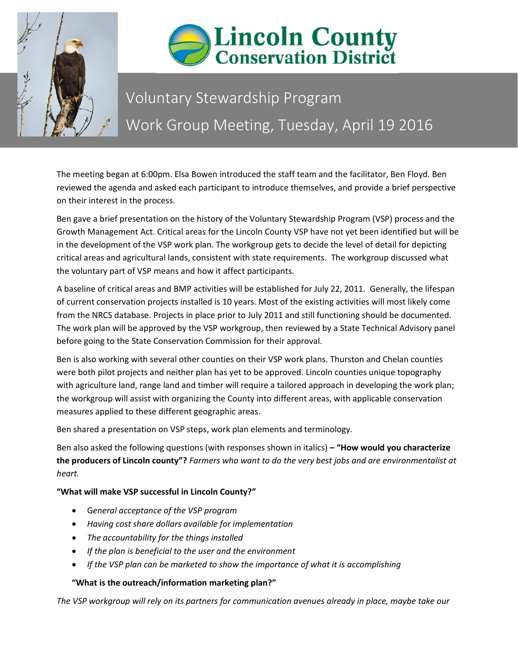



## Voluntary Stewardship Program Work Group Meeting, Tuesday, April 19 2016

The meeting began at 6:00pm. Elsa Bowen introduced the staff team and the facilitator, Ben Floyd. Ben reviewed the agenda and asked each participant to introduce themselves, and provide a brief perspective on their interest in the process.

Ben gave a brief presentation on the history of the Voluntary Stewardship Program (VSP) process and the Growth Management Act. Critical areas for the Lincoln County VSP have not yet been identified but will be in the development of the VSP work plan. The workgroup gets to decide the level of detail for depicting critical areas and agricultural lands, consistent with state requirements. The workgroup discussed what the voluntary part of VSP means and how it affect participants.

A baseline of critical areas and BMP activities will be established for July 22, 2011. Generally, the lifespan of current conservation projects installed is 10 years. Most of the existing activities will most likely come from the NRCS database. Projects in place prior to July 2011 and still functioning should be documented. The work plan will be approved by the VSP workgroup, then reviewed by a State Technical Advisory panel before going to the State Conservation Commission for their approval.

Ben is also working with several other counties on their VSP work plans. Thurston and Chelan counties were both pilot projects and neither plan has yet to be approved. Lincoln counties unique topography with agriculture land, range land and timber will require a tailored approach in developing the work plan; the workgroup will assist with organizing the County into different areas, with applicable conservation measures applied to these different geographic areas.

Ben shared a presentation on VSP steps, work plan elements and terminology.

Ben also asked the following questions (with responses shown in italics) **– "How would you characterize the producers of Lincoln county"?** *Farmers who want to do the very best jobs and are environmentalist at heart.* 

**"What will make VSP successful in Lincoln County?"**

- G*eneral acceptance of the VSP program*
- *Having cost share dollars available for implementation*
- *The accountability for the things installed*
- *If the plan is beneficial to the user and the environment*
- *If the VSP plan can be marketed to show the importance of what it is accomplishing*

## **"What is the outreach/information marketing plan?"**

*The VSP workgroup will rely on its partners for communication avenues already in place, maybe take our*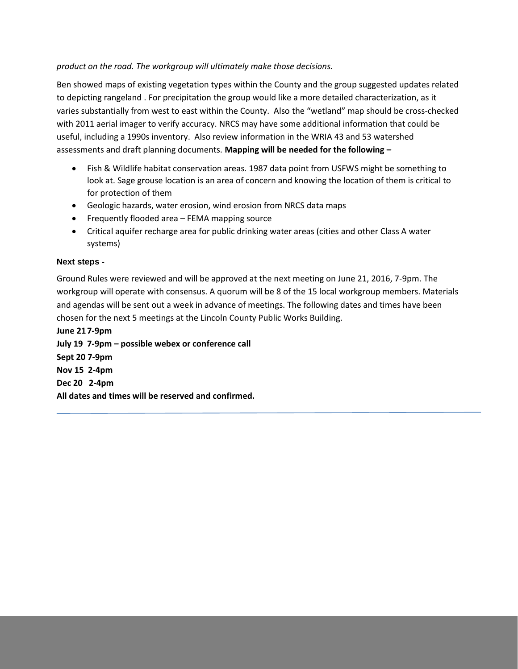## *product on the road. The workgroup will ultimately make those decisions.*

Ben showed maps of existing vegetation types within the County and the group suggested updates related to depicting rangeland . For precipitation the group would like a more detailed characterization, as it varies substantially from west to east within the County. Also the "wetland" map should be cross-checked with 2011 aerial imager to verify accuracy. NRCS may have some additional information that could be useful, including a 1990s inventory. Also review information in the WRIA 43 and 53 watershed assessments and draft planning documents. **Mapping will be needed for the following –**

- Fish & Wildlife habitat conservation areas. 1987 data point from USFWS might be something to look at. Sage grouse location is an area of concern and knowing the location of them is critical to for protection of them
- Geologic hazards, water erosion, wind erosion from NRCS data maps
- Frequently flooded area FEMA mapping source
- Critical aquifer recharge area for public drinking water areas (cities and other Class A water systems)

## **Next steps -**

Ground Rules were reviewed and will be approved at the next meeting on June 21, 2016, 7-9pm. The workgroup will operate with consensus. A quorum will be 8 of the 15 local workgroup members. Materials and agendas will be sent out a week in advance of meetings. The following dates and times have been chosen for the next 5 meetings at the Lincoln County Public Works Building.

**June 217-9pm July 19 7-9pm – possible webex or conference call Sept 20 7-9pm Nov 15 2-4pm Dec 20 2-4pm All dates and times will be reserved and confirmed.**